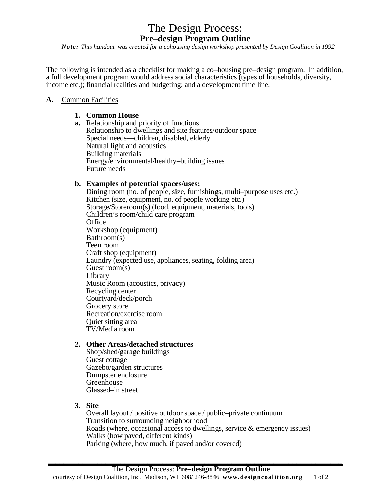# The Design Process: **Pre–design Program Outline**

*Note: This handout was created for a cohousing design workshop presented by Design Coalition in 1992* 

The following is intended as a checklist for making a co–housing pre–design program. In addition, a full development program would address social characteristics (types of households, diversity, income etc.); financial realities and budgeting; and a development time line.

#### **A.** Common Facilities

## **1. Common House**

**a.** Relationship and priority of functions Relationship to dwellings and site features/outdoor space Special needs—children, disabled, elderly Natural light and acoustics Building materials Energy/environmental/healthy–building issues Future needs

## **b. Examples of potential spaces/uses:**

Dining room (no. of people, size, furnishings, multi–purpose uses etc.) Kitchen (size, equipment, no. of people working etc.) Storage/Storeroom(s) (food, equipment, materials, tools) Children's room/child care program **Office** Workshop (equipment) Bathroom(s) Teen room Craft shop (equipment) Laundry (expected use, appliances, seating, folding area) Guest room(s) Library Music Room (acoustics, privacy) Recycling center Courtyard/deck/porch Grocery store Recreation/exercise room Quiet sitting area TV/Media room

## **2. Other Areas/detached structures**

Shop/shed/garage buildings Guest cottage Gazebo/garden structures Dumpster enclosure Greenhouse Glassed–in street

**3. Site**

Overall layout / positive outdoor space / public–private continuum Transition to surrounding neighborhood Roads (where, occasional access to dwellings, service & emergency issues) Walks (how paved, different kinds) Parking (where, how much, if paved and/or covered)

*\_\_\_\_\_\_\_\_\_\_\_\_\_\_\_\_\_\_\_\_\_\_\_\_\_\_\_\_\_\_\_\_\_\_\_\_\_\_\_\_\_\_\_\_\_\_\_\_\_\_\_\_\_\_\_\_\_\_\_\_\_\_\_\_\_\_\_\_\_\_\_\_\_\_\_\_\_*